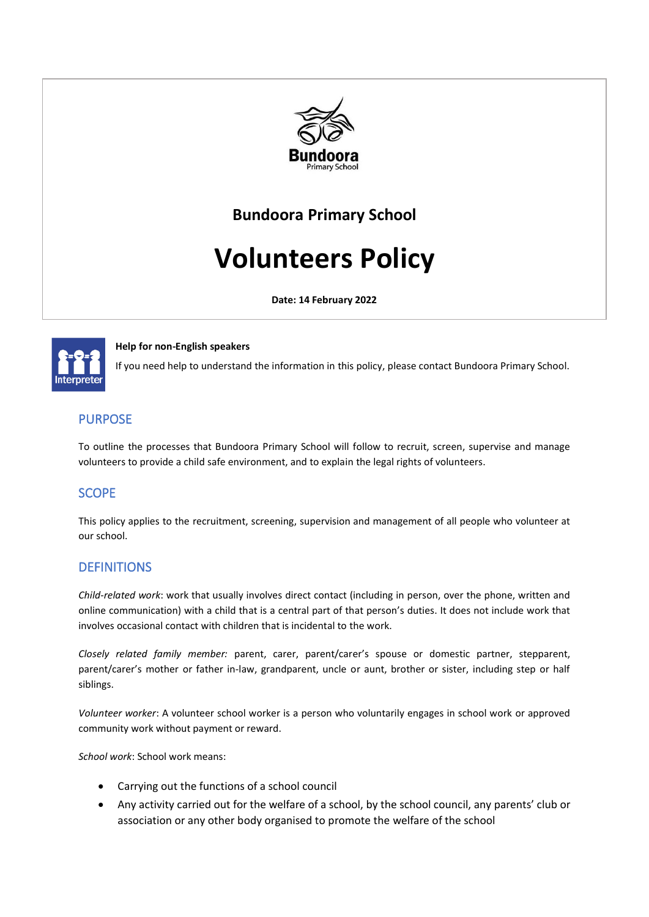

## **Bundoora Primary School**

# **Volunteers Policy**

**Date: 14 February 2022**



#### **Help for non-English speakers**

If you need help to understand the information in this policy, please contact Bundoora Primary School.

## PURPOSE

To outline the processes that Bundoora Primary School will follow to recruit, screen, supervise and manage volunteers to provide a child safe environment, and to explain the legal rights of volunteers.

## **SCOPE**

This policy applies to the recruitment, screening, supervision and management of all people who volunteer at our school.

## **DEFINITIONS**

*Child-related work*: work that usually involves direct contact (including in person, over the phone, written and online communication) with a child that is a central part of that person's duties. It does not include work that involves occasional contact with children that is incidental to the work.

*Closely related family member:* parent, carer, parent/carer's spouse or domestic partner, stepparent, parent/carer's mother or father in-law, grandparent, uncle or aunt, brother or sister, including step or half siblings.

*Volunteer worker*: A volunteer school worker is a person who voluntarily engages in school work or approved community work without payment or reward.

*School work*: School work means:

- Carrying out the functions of a school council
- Any activity carried out for the welfare of a school, by the school council, any parents' club or association or any other body organised to promote the welfare of the school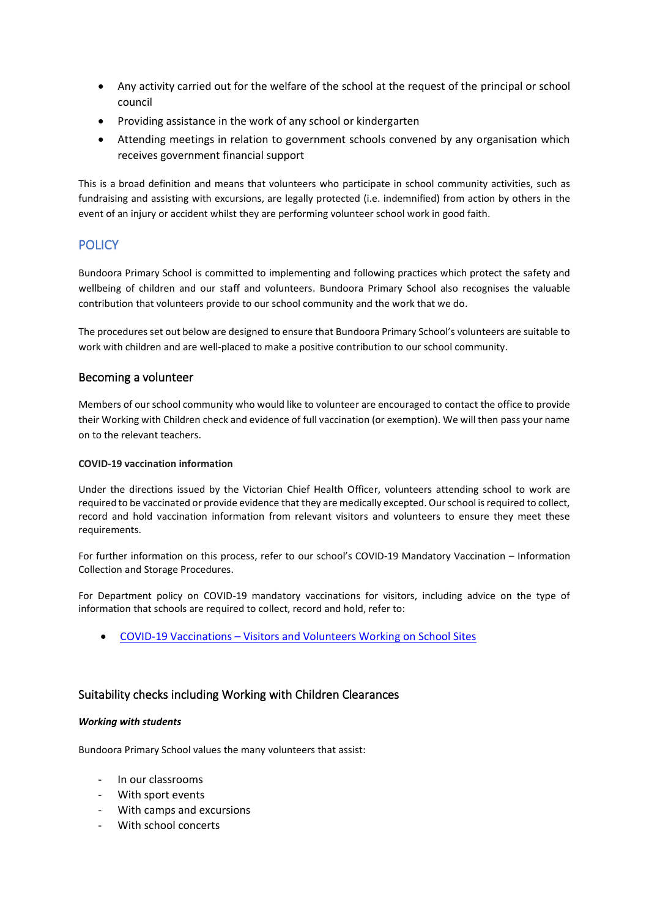- Any activity carried out for the welfare of the school at the request of the principal or school council
- Providing assistance in the work of any school or kindergarten
- Attending meetings in relation to government schools convened by any organisation which receives government financial support

This is a broad definition and means that volunteers who participate in school community activities, such as fundraising and assisting with excursions, are legally protected (i.e. indemnified) from action by others in the event of an injury or accident whilst they are performing volunteer school work in good faith.

## **POLICY**

Bundoora Primary School is committed to implementing and following practices which protect the safety and wellbeing of children and our staff and volunteers. Bundoora Primary School also recognises the valuable contribution that volunteers provide to our school community and the work that we do.

The procedures set out below are designed to ensure that Bundoora Primary School's volunteers are suitable to work with children and are well-placed to make a positive contribution to our school community.

#### Becoming a volunteer

Members of our school community who would like to volunteer are encouraged to contact the office to provide their Working with Children check and evidence of full vaccination (or exemption). We will then pass your name on to the relevant teachers.

#### **COVID-19 vaccination information**

Under the directions issued by the Victorian Chief Health Officer, volunteers attending school to work are required to be vaccinated or provide evidence that they are medically excepted. Our school is required to collect, record and hold vaccination information from relevant visitors and volunteers to ensure they meet these requirements.

For further information on this process, refer to our school's COVID-19 Mandatory Vaccination – Information Collection and Storage Procedures.

For Department policy on COVID-19 mandatory vaccinations for visitors, including advice on the type of information that schools are required to collect, record and hold, refer to:

• COVID-19 Vaccinations – [Visitors and Volunteers Working on School Sites](https://www2.education.vic.gov.au/pal/covid-19-vaccinations-visitors-volunteers/policy)

#### Suitability checks including Working with Children Clearances

#### *Working with students*

Bundoora Primary School values the many volunteers that assist:

- In our classrooms
- With sport events
- With camps and excursions
- With school concerts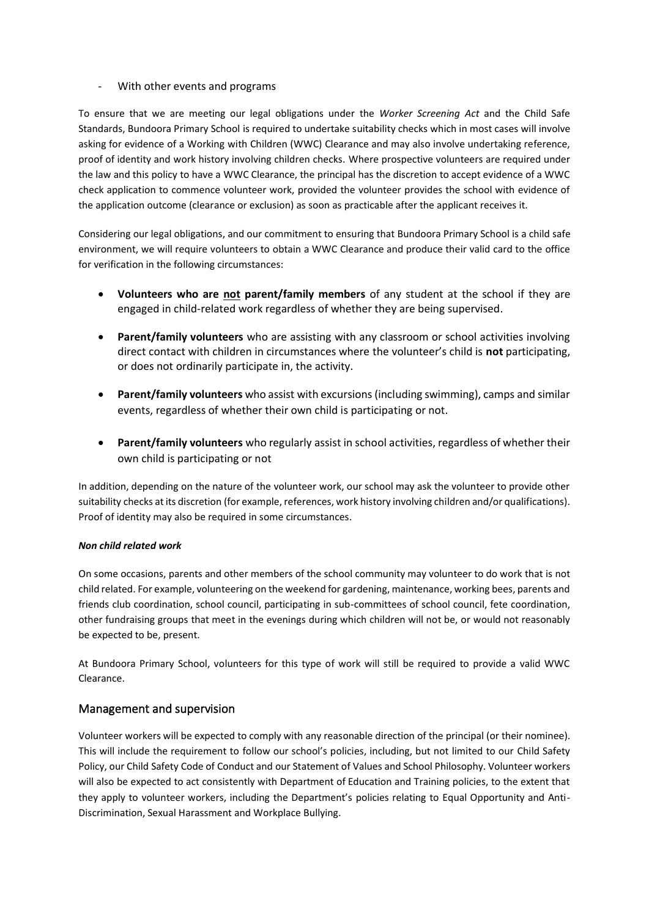- With other events and programs

To ensure that we are meeting our legal obligations under the *Worker Screening Act* and the Child Safe Standards, Bundoora Primary School is required to undertake suitability checks which in most cases will involve asking for evidence of a Working with Children (WWC) Clearance and may also involve undertaking reference, proof of identity and work history involving children checks. Where prospective volunteers are required under the law and this policy to have a WWC Clearance, the principal has the discretion to accept evidence of a WWC check application to commence volunteer work, provided the volunteer provides the school with evidence of the application outcome (clearance or exclusion) as soon as practicable after the applicant receives it.

Considering our legal obligations, and our commitment to ensuring that Bundoora Primary School is a child safe environment, we will require volunteers to obtain a WWC Clearance and produce their valid card to the office for verification in the following circumstances:

- **Volunteers who are not parent/family members** of any student at the school if they are engaged in child-related work regardless of whether they are being supervised.
- **Parent/family volunteers** who are assisting with any classroom or school activities involving direct contact with children in circumstances where the volunteer's child is **not** participating, or does not ordinarily participate in, the activity.
- **Parent/family volunteers** who assist with excursions (including swimming), camps and similar events, regardless of whether their own child is participating or not.
- **Parent/family volunteers** who regularly assist in school activities, regardless of whether their own child is participating or not

In addition, depending on the nature of the volunteer work, our school may ask the volunteer to provide other suitability checks at its discretion (for example, references, work history involving children and/or qualifications). Proof of identity may also be required in some circumstances.

#### *Non child related work*

On some occasions, parents and other members of the school community may volunteer to do work that is not child related. For example, volunteering on the weekend for gardening, maintenance, working bees, parents and friends club coordination, school council, participating in sub-committees of school council, fete coordination, other fundraising groups that meet in the evenings during which children will not be, or would not reasonably be expected to be, present.

At Bundoora Primary School, volunteers for this type of work will still be required to provide a valid WWC Clearance.

## Management and supervision

Volunteer workers will be expected to comply with any reasonable direction of the principal (or their nominee). This will include the requirement to follow our school's policies, including, but not limited to our Child Safety Policy, our Child Safety Code of Conduct and our Statement of Values and School Philosophy. Volunteer workers will also be expected to act consistently with Department of Education and Training policies, to the extent that they apply to volunteer workers, including the Department's policies relating to Equal Opportunity and Anti-Discrimination, Sexual Harassment and Workplace Bullying.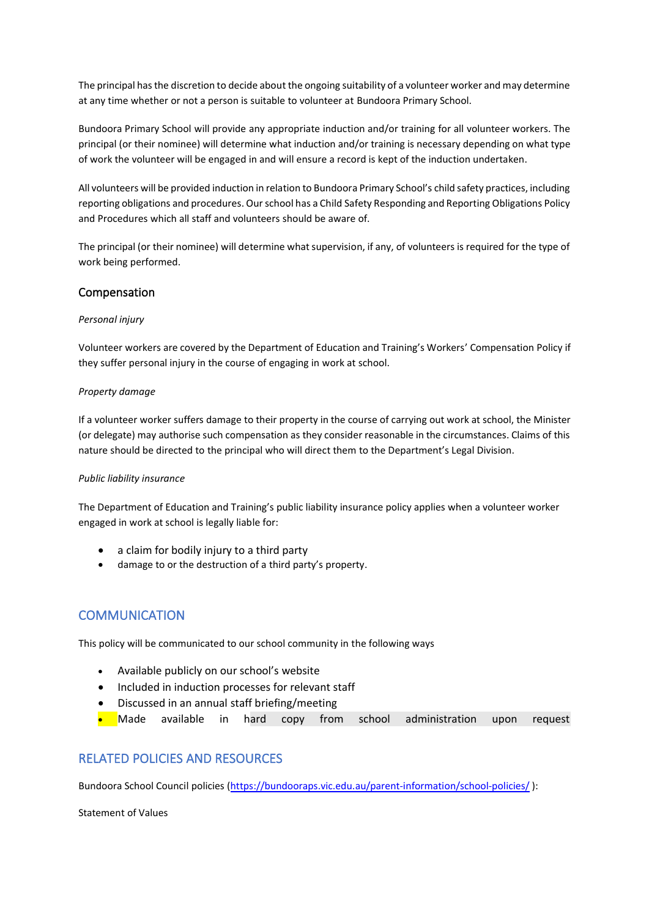The principal has the discretion to decide about the ongoing suitability of a volunteer worker and may determine at any time whether or not a person is suitable to volunteer at Bundoora Primary School.

Bundoora Primary School will provide any appropriate induction and/or training for all volunteer workers. The principal (or their nominee) will determine what induction and/or training is necessary depending on what type of work the volunteer will be engaged in and will ensure a record is kept of the induction undertaken.

All volunteers will be provided induction in relation to Bundoora Primary School's child safety practices, including reporting obligations and procedures. Our school has a Child Safety Responding and Reporting Obligations Policy and Procedures which all staff and volunteers should be aware of.

The principal (or their nominee) will determine what supervision, if any, of volunteers is required for the type of work being performed.

#### Compensation

#### *Personal injury*

Volunteer workers are covered by the Department of Education and Training's Workers' Compensation Policy if they suffer personal injury in the course of engaging in work at school.

#### *Property damage*

If a volunteer worker suffers damage to their property in the course of carrying out work at school, the Minister (or delegate) may authorise such compensation as they consider reasonable in the circumstances. Claims of this nature should be directed to the principal who will direct them to the Department's Legal Division.

#### *Public liability insurance*

The Department of Education and Training's public liability insurance policy applies when a volunteer worker engaged in work at school is legally liable for:

- a claim for bodily injury to a third party
- damage to or the destruction of a third party's property.

## COMMUNICATION

This policy will be communicated to our school community in the following ways

- Available publicly on our school's website
- Included in induction processes for relevant staff
- Discussed in an annual staff briefing/meeting
- Made available in hard copy from school administration upon request

## RELATED POLICIES AND RESOURCES

Bundoora School Council policies [\(https://bundooraps.vic.edu.au/parent-information/school-policies/](https://bundooraps.vic.edu.au/parent-information/school-policies/) ):

Statement of Values